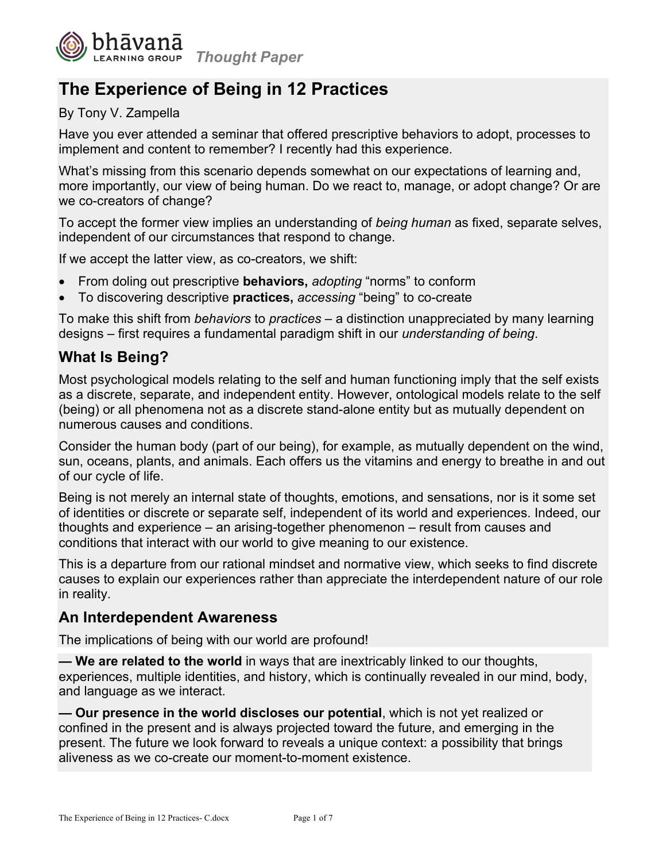

# **The Experience of Being in 12 Practices**

### By Tony V. Zampella

Have you ever attended a seminar that offered prescriptive behaviors to adopt, processes to implement and content to remember? I recently had this experience.

What's missing from this scenario depends somewhat on our expectations of learning and, more importantly, our view of being human. Do we react to, manage, or adopt change? Or are we co-creators of change?

To accept the former view implies an understanding of *being human* as fixed, separate selves, independent of our circumstances that respond to change.

If we accept the latter view, as co-creators, we shift:

- From doling out prescriptive **behaviors,** *adopting* "norms" to conform
- To discovering descriptive **practices,** *accessing* "being" to co-create

To make this shift from *behaviors* to *practices* – a distinction unappreciated by many learning designs – first requires a fundamental paradigm shift in our *understanding of being*.

## **What Is Being?**

Most psychological models relating to the self and human functioning imply that the self exists as a discrete, separate, and independent entity. However, ontological models relate to the self (being) or all phenomena not as a discrete stand-alone entity but as mutually dependent on numerous causes and conditions.

Consider the human body (part of our being), for example, as mutually dependent on the wind, sun, oceans, plants, and animals. Each offers us the vitamins and energy to breathe in and out of our cycle of life.

Being is not merely an internal state of thoughts, emotions, and sensations, nor is it some set of identities or discrete or separate self, independent of its world and experiences. Indeed, our thoughts and experience – an arising-together phenomenon – result from causes and conditions that interact with our world to give meaning to our existence.

This is a departure from our rational mindset and normative view, which seeks to find discrete causes to explain our experiences rather than appreciate the interdependent nature of our role in reality.

## **An Interdependent Awareness**

The implications of being with our world are profound!

**— We are related to the world** in ways that are inextricably linked to our thoughts, experiences, multiple identities, and history, which is continually revealed in our mind, body, and language as we interact.

**— Our presence in the world discloses our potential**, which is not yet realized or confined in the present and is always projected toward the future, and emerging in the present. The future we look forward to reveals a unique context: a possibility that brings aliveness as we co-create our moment-to-moment existence.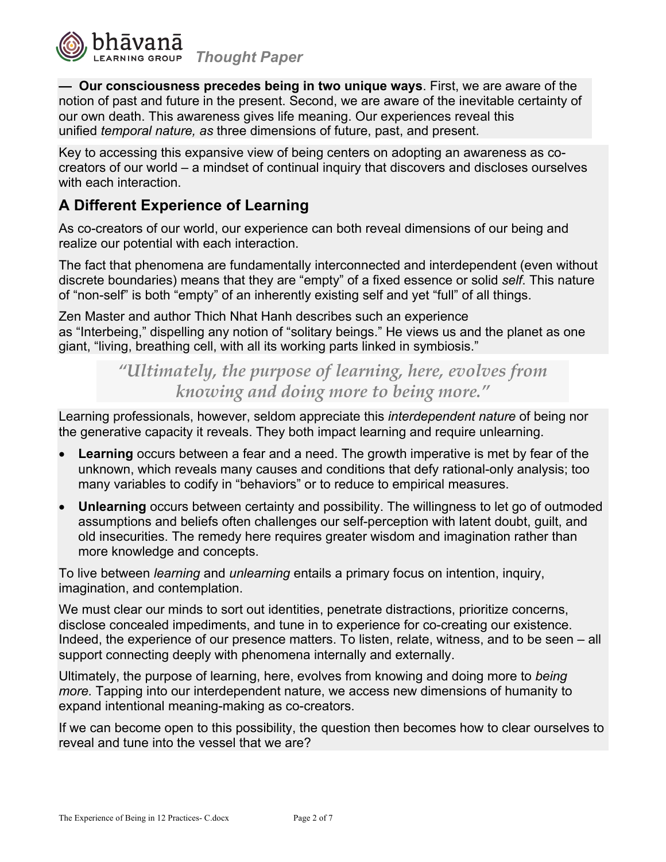

**— Our consciousness precedes being in two unique ways**. First, we are aware of the notion of past and future in the present. Second, we are aware of the inevitable certainty of our own death. This awareness gives life meaning. Our experiences reveal this unified *temporal nature, as* three dimensions of future, past, and present.

Key to accessing this expansive view of being centers on adopting an awareness as cocreators of our world – a mindset of continual inquiry that discovers and discloses ourselves with each interaction.

# **A Different Experience of Learning**

As co-creators of our world, our experience can both reveal dimensions of our being and realize our potential with each interaction.

The fact that phenomena are fundamentally interconnected and interdependent (even without discrete boundaries) means that they are "empty" of a fixed essence or solid *self*. This nature of "non-self" is both "empty" of an inherently existing self and yet "full" of all things.

Zen Master and author Thich Nhat Hanh describes such an experience as "Interbeing," dispelling any notion of "solitary beings." He views us and the planet as one giant, "living, breathing cell, with all its working parts linked in symbiosis."

> *"Ultimately, the purpose of learning, here, evolves from knowing and doing more to being more."*

Learning professionals, however, seldom appreciate this *interdependent nature* of being nor the generative capacity it reveals. They both impact learning and require unlearning.

- **Learning** occurs between a fear and a need. The growth imperative is met by fear of the unknown, which reveals many causes and conditions that defy rational-only analysis; too many variables to codify in "behaviors" or to reduce to empirical measures.
- **Unlearning** occurs between certainty and possibility. The willingness to let go of outmoded assumptions and beliefs often challenges our self-perception with latent doubt, guilt, and old insecurities. The remedy here requires greater wisdom and imagination rather than more knowledge and concepts.

To live between *learning* and *unlearning* entails a primary focus on intention, inquiry, imagination, and contemplation.

We must clear our minds to sort out identities, penetrate distractions, prioritize concerns, disclose concealed impediments, and tune in to experience for co-creating our existence. Indeed, the experience of our presence matters. To listen, relate, witness, and to be seen – all support connecting deeply with phenomena internally and externally.

Ultimately, the purpose of learning, here, evolves from knowing and doing more to *being more.* Tapping into our interdependent nature, we access new dimensions of humanity to expand intentional meaning-making as co-creators.

If we can become open to this possibility, the question then becomes how to clear ourselves to reveal and tune into the vessel that we are?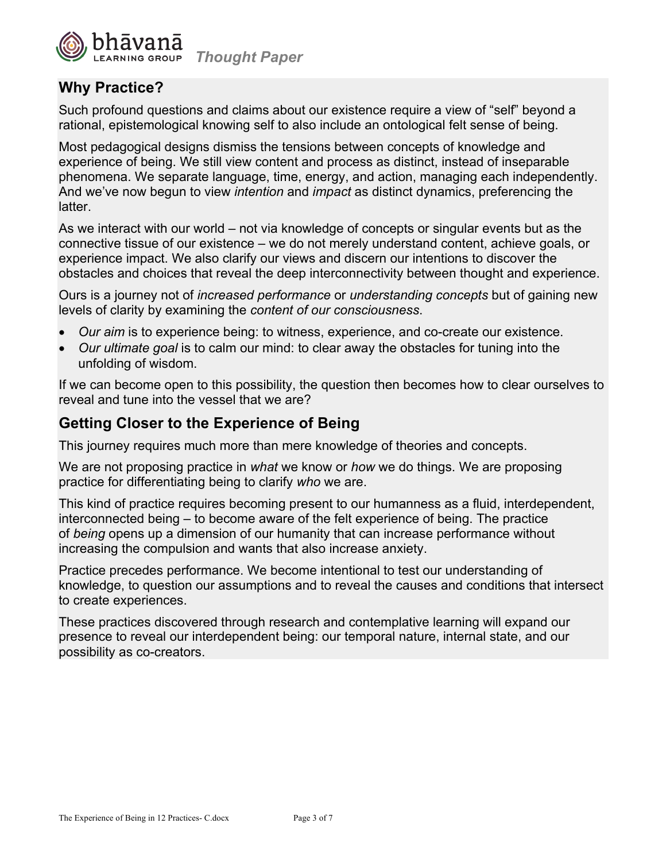

# **Why Practice?**

Such profound questions and claims about our existence require a view of "self" beyond a rational, epistemological knowing self to also include an ontological felt sense of being.

Most pedagogical designs dismiss the tensions between concepts of knowledge and experience of being. We still view content and process as distinct, instead of inseparable phenomena. We separate language, time, energy, and action, managing each independently. And we've now begun to view *intention* and *impact* as distinct dynamics, preferencing the latter.

As we interact with our world – not via knowledge of concepts or singular events but as the connective tissue of our existence – we do not merely understand content, achieve goals, or experience impact. We also clarify our views and discern our intentions to discover the obstacles and choices that reveal the deep interconnectivity between thought and experience.

Ours is a journey not of *increased performance* or *understanding concepts* but of gaining new levels of clarity by examining the *content of our consciousness*.

- *Our aim* is to experience being: to witness, experience, and co-create our existence.
- *Our ultimate goal* is to calm our mind: to clear away the obstacles for tuning into the unfolding of wisdom.

If we can become open to this possibility, the question then becomes how to clear ourselves to reveal and tune into the vessel that we are?

# **Getting Closer to the Experience of Being**

This journey requires much more than mere knowledge of theories and concepts.

We are not proposing practice in *what* we know or *how* we do things. We are proposing practice for differentiating being to clarify *who* we are.

This kind of practice requires becoming present to our humanness as a fluid, interdependent, interconnected being – to become aware of the felt experience of being. The practice of *being* opens up a dimension of our humanity that can increase performance without increasing the compulsion and wants that also increase anxiety.

Practice precedes performance. We become intentional to test our understanding of knowledge, to question our assumptions and to reveal the causes and conditions that intersect to create experiences.

These practices discovered through research and contemplative learning will expand our presence to reveal our interdependent being: our temporal nature, internal state, and our possibility as co-creators.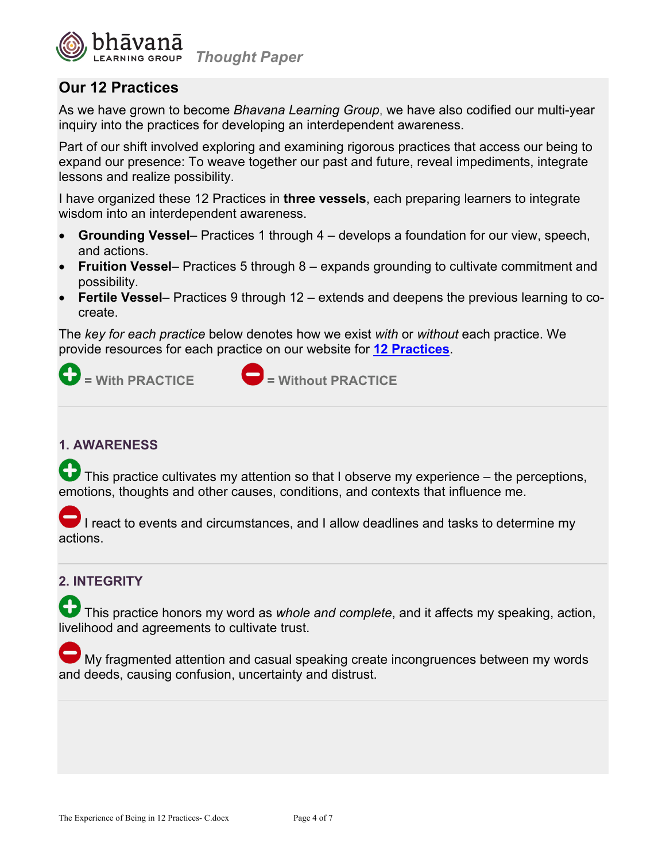

# **Our 12 Practices**

As we have grown to become *Bhavana Learning Group*, we have also codified our multi-year inquiry into the practices for developing an interdependent awareness.

Part of our shift involved exploring and examining rigorous practices that access our being to expand our presence: To weave together our past and future, reveal impediments, integrate lessons and realize possibility.

I have organized these 12 Practices in **three vessels**, each preparing learners to integrate wisdom into an interdependent awareness.

- **Grounding Vessel** Practices 1 through 4 develops a foundation for our view, speech, and actions.
- **Fruition Vessel** Practices 5 through 8 expands grounding to cultivate commitment and possibility.
- **Fertile Vessel** Practices 9 through 12 extends and deepens the previous learning to cocreate.

The *key for each practice* below denotes how we exist *with* or *without* each practice. We provide resources for each practice on our website for **12 Practices**.



#### **1. AWARENESS**

This practice cultivates my attention so that I observe my experience – the perceptions, emotions, thoughts and other causes, conditions, and contexts that influence me.

I react to events and circumstances, and I allow deadlines and tasks to determine my actions.

#### **2. INTEGRITY**

This practice honors my word as *whole and complete*, and it affects my speaking, action, livelihood and agreements to cultivate trust.

My fragmented attention and casual speaking create incongruences between my words and deeds, causing confusion, uncertainty and distrust.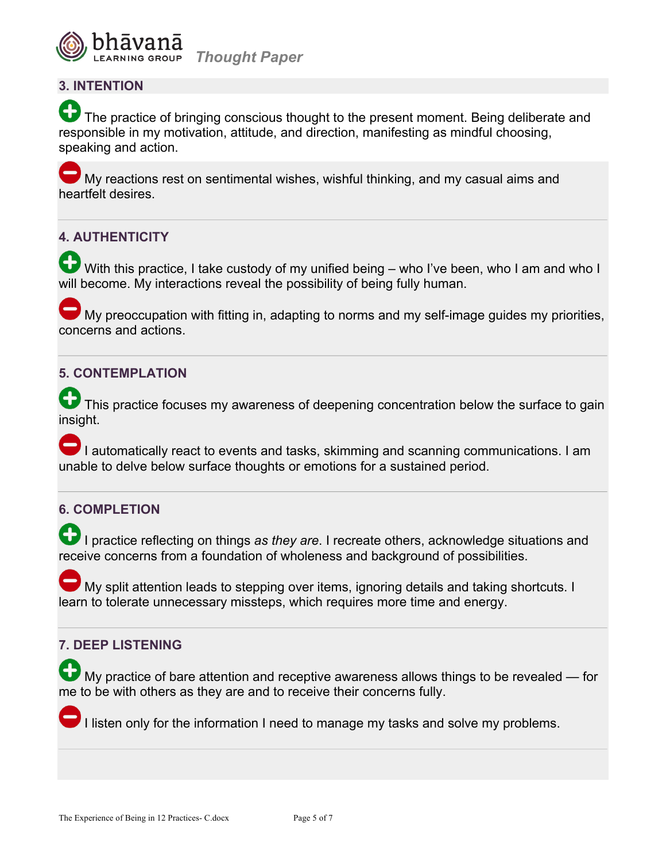

#### **3. INTENTION**

The practice of bringing conscious thought to the present moment. Being deliberate and responsible in my motivation, attitude, and direction, manifesting as mindful choosing, speaking and action.

My reactions rest on sentimental wishes, wishful thinking, and my casual aims and heartfelt desires.

#### **4. AUTHENTICITY**

With this practice, I take custody of my unified being – who I've been, who I am and who I will become. My interactions reveal the possibility of being fully human.

My preoccupation with fitting in, adapting to norms and my self-image guides my priorities, concerns and actions.

#### **5. CONTEMPLATION**

This practice focuses my awareness of deepening concentration below the surface to gain insight.

I automatically react to events and tasks, skimming and scanning communications. I am unable to delve below surface thoughts or emotions for a sustained period.

#### **6. COMPLETION**

I practice reflecting on things as they are. I recreate others, acknowledge situations and receive concerns from a foundation of wholeness and background of possibilities.

My split attention leads to stepping over items, ignoring details and taking shortcuts. I learn to tolerate unnecessary missteps, which requires more time and energy.

#### **7. DEEP LISTENING**

My practice of bare attention and receptive awareness allows things to be revealed — for me to be with others as they are and to receive their concerns fully.

I listen only for the information I need to manage my tasks and solve my problems.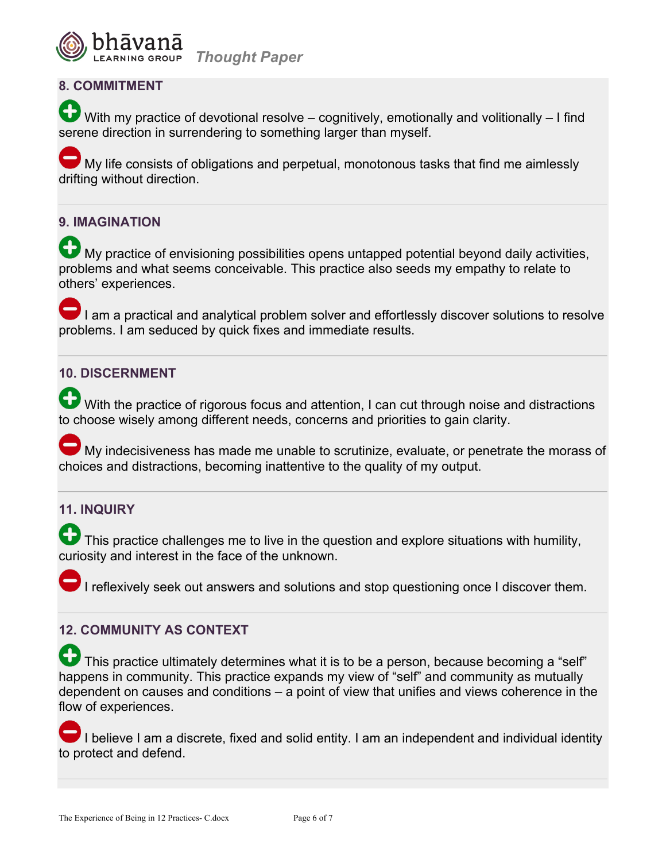

### **8. COMMITMENT**

With my practice of devotional resolve – cognitively, emotionally and volitionally – I find serene direction in surrendering to something larger than myself.

My life consists of obligations and perpetual, monotonous tasks that find me aimlessly drifting without direction.

#### **9. IMAGINATION**

My practice of envisioning possibilities opens untapped potential beyond daily activities, problems and what seems conceivable. This practice also seeds my empathy to relate to others' experiences.

I am a practical and analytical problem solver and effortlessly discover solutions to resolve problems. I am seduced by quick fixes and immediate results.

#### **10. DISCERNMENT**

With the practice of rigorous focus and attention, I can cut through noise and distractions to choose wisely among different needs, concerns and priorities to gain clarity.

My indecisiveness has made me unable to scrutinize, evaluate, or penetrate the morass of choices and distractions, becoming inattentive to the quality of my output.

## **11. INQUIRY**

This practice challenges me to live in the question and explore situations with humility, curiosity and interest in the face of the unknown.

I reflexively seek out answers and solutions and stop questioning once I discover them.

#### **12. COMMUNITY AS CONTEXT**

This practice ultimately determines what it is to be a person, because becoming a "self" happens in community. This practice expands my view of "self" and community as mutually dependent on causes and conditions – a point of view that unifies and views coherence in the flow of experiences.

I believe I am a discrete, fixed and solid entity. I am an independent and individual identity to protect and defend.